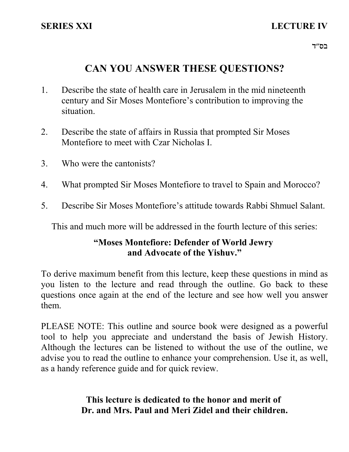# **SERIES XXI LECTURE IV**

# **CAN YOU ANSWER THESE QUESTIONS?**

- 1. Describe the state of health care in Jerusalem in the mid nineteenth century and Sir Moses Montefiore's contribution to improving the situation.
- 2. Describe the state of affairs in Russia that prompted Sir Moses Montefiore to meet with Czar Nicholas I.
- 3. Who were the cantonists?
- 4. What prompted Sir Moses Montefiore to travel to Spain and Morocco?
- 5. Describe Sir Moses Montefiore's attitude towards Rabbi Shmuel Salant.

This and much more will be addressed in the fourth lecture of this series:

# **"Moses Montefiore: Defender of World Jewry and Advocate of the Yishuv."**

To derive maximum benefit from this lecture, keep these questions in mind as you listen to the lecture and read through the outline. Go back to these questions once again at the end of the lecture and see how well you answer them.

PLEASE NOTE: This outline and source book were designed as a powerful tool to help you appreciate and understand the basis of Jewish History. Although the lectures can be listened to without the use of the outline, we advise you to read the outline to enhance your comprehension. Use it, as well, as a handy reference guide and for quick review.

> **This lecture is dedicated to the honor and merit of Dr. and Mrs. Paul and Meri Zidel and their children.**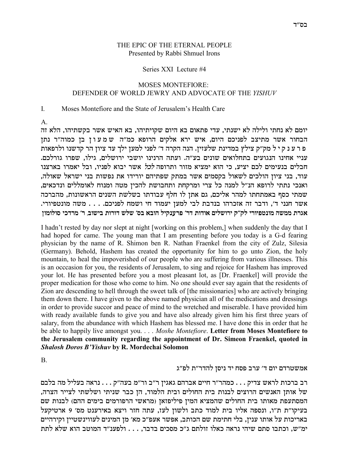#### THE EPIC OF THE ETERNAL PEOPLE Presented by Rabbi Shmuel Irons

#### Series XXI Lecture #4

#### **MOSES MONTEFIORE:** DEFENDER OF WORLD JEWRY AND ADVOCATE OF THE YISHUV

#### $\mathbf{L}$ Moses Montefiore and the State of Jerusalem's Health Care

 $A_{\cdot}$ 

יומם לא נחתי ולילה לא ישנתי, עדי פתאום בא היום שקויתיהו, בא האיש אשר בקשתיהו, הלא זה הבחור אשר מתיצב לפניכם היום, איש ירא אלקים הרופא כמ"ה שמעון בן כמוה"ר נתן פ ר ע נ ק י ל מק"ק צילץ במדינת שלעזין. הנה הקרה ד' לפני למען ילך עד ציון הר קדשנו ולרפאות עניי אחינו הנגועים בתחלואים שונים בע"ה. ועתה הרנינו יושבי ירושלים, גילו, שפרו גורלכם. חבלים בנעימים לכם יציע, כי הוא ימציא מזור ותרופה *לכל* אשר יבוא לפניו, ובל יאמרו בארצנו עוד, בני ציון הולכים לשאול בקסמים אשר במתק שפתיהם יורידו את נפשות בני ישראל שאולה, ואנכי נתתי לרופא הנ"ל למנה כל צרי ומרקחת ותחבושת להכין מטה ומנוח לאומללים ונדכאים, שמתי כסף באמתחתו למהר אליכם, גם אתן לו חלף עבודתו בשלשת השנים הראשונות, מהברכה אשר חנני ד׳, ודבר זה אזכרהו בנדבת לבי למען יעמוד חי ושמח לפניכם. . . . משה מונטפיורי. אגרת ממשה מונטפיורי לק״ק ירושלים אודות דר׳ פרענקיל הובא בס׳ שלש דורות בישוב, ר׳ מרדכי סולומון

I hadn't rested by day nor slept at night [working on this problem,] when suddenly the day that I had hoped for came. The young man that I am presenting before you today is a G-d fearing physician by the name of R. Shimon ben R. Nathan Fraenkel from the city of Zulz, Silesia (Germany). Behold, Hashem has created the opportunity for him to go unto Zion, the holy mountain, to heal the impoverished of our people who are suffering from various illnesses. This is an occcasion for you, the residents of Jerusalem, to sing and rejoice for Hashem has improved your lot. He has presented before you a most pleasant lot, as [Dr. Fraenkel] will provide the proper medication for those who come to him. No one should ever say again that the residents of Zion are descending to hell through the sweet talk of [the missionaries] who are actively bringing them down there. I have given to the above named physician all of the medications and dressings in order to provide succor and peace of mind to the wretched and miserable. I have provided him with ready available funds to give you and have also already given him his first three years of salary, from the abundance with which Hashem has blessed me. I have done this in order that he be able to happily live amongst you. . . . Moshe Montefiore. Letter from Moses Montefiore to the Jerusalem community regarding the appointment of Dr. Simeon Fraenkel, quoted in Shalosh Doros B'Yishuv by R. Mordechai Solomon

<sub>B</sub>

## אמשטרדם יום ד' ערב פסח יד ניסן להדר"ת לפ"ג

רב ברכות לראש צדיק . . . כמהר״ר חיים אברהם גאגין ר״ב ור״מ בעה״ק . . . נראה בעליל מה בלבם של אותן האנשים הרוצים לבנות בית החולים ובית הלמוד, הן כבר שניתי ושלשתי לצייר הצרה, המסתעפת מאותו בית החולים שהמציא המין פיליפזאן (מראשי הרפורמים בימים ההם) לבנות שם בעיקו"ת ת"ו, ונספה אליו בית למוד כתב ולשון לעז, עתה חזר ויצא באירענט מס' 9 ארטיקעל באריכות על אותו ענין, בלי חתימת שם הכותב, אפשר אעפ״כ מא׳ מן המינים לעווינשטיין וקירהיים ימ״ש, וכתבו סתם שיהי נראה כאלו זולתם ג״כ מסכים בדבר, . . . ולפענ״ד המוטב הוא שלא לתת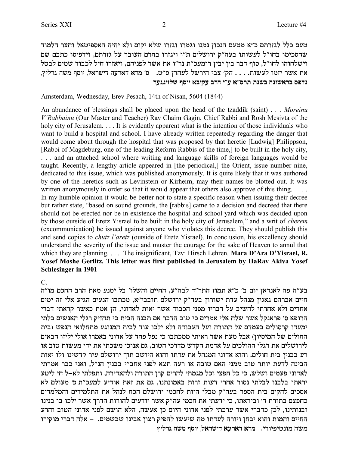טעם כלל לגזרתם כ״א מטעם הנכון נמנו וגמרו וגזרו שלא יקום ולא יהיה האספיטאל וחצר הלמוד שהסכימו בחו"ל לעשותו בעה"ק ירושלים ת"ו ויגזרו בחרם העובר על גזרתם, וידפיסו כתבם שם וישלחוהו לחו"ל, סוף דבר בין יבין רומעכ"ת נר"ו את אשר לפניהם, ויאזרו חיל לכבוד שמים לבטל **,uilxb dyn sqei ,l`xyic drx`c `xn 'q** .h"q oxdrl lyxid iav 'wd . . . .zeyrl enfi xy` z` **xrbpifly sqei `aiwr axd i"r `"qxz zpya dpey`xa qtcp**

Amsterdam, Wednesday, Erev Pesach, 14th of Nisan, 5604 (1844)

An abundance of blessings shall be placed upon the head of the tzaddik (saint) . . . *Moreinu V'Rabbainu* (Our Master and Teacher) Rav Chaim Gagin, Chief Rabbi and Rosh Mesivta of the holy city of Jerusalem. . . . It is evidently apparent what is the intention of those individuals who want to build a hospital and school. I have already written repeatedly regarding the danger that would come about through the hospital that was proposed by that heretic [Ludwig] Philippson, [Rabbi of Magdeburg, one of the leading Reform Rabbis of the time,] to be built in the holy city, . . . and an attached school where writing and language skills of foreign languages would be taught. Recently, a lengthy article appeared in [the periodical,] the Orient, issue number nine, dedicated to this issue, which was published anonymously. It is quite likely that it was authored by one of the heretics such as Levinstein or Kirheim, may their names be blotted out. It was written anonymously in order so that it would appear that others also approve of this thing. ... In my humble opinion it would be better not to state a specific reason when issuing their decree but rather state, "based on sound grounds, the [rabbis] came to a decision and decreed that there should not be erected nor be in existence the hospital and school yard which was decided upon by those outside of Eretz Yisrael to be built in the holy city of Jerusalem," and a writ of *cherem* (excommunication) be issued against anyone who violates this decree. They should publish this and send copies to *chutz l'aretz* (outside of Eretz Yisrael). In conclusion, his excellency should understand the severity of the issue and muster the courage for the sake of Heaven to annul that which they are planning. . . . The insignificant, Tzvi Hirsch Lehren. **Mara D'Ara D'Yisrael, R. Yosef Moshe Gerlitz. This letter was first published in Jerusalem by HaRav Akiva Yosef Schlesinger in 1901**

C.

בע״ה פה לאנדאן יום ב׳ כ״א תמוז התר״ד לבה״ע, החיים והשלו׳ בל ימנע מאת הרב החכם מו״ה חיים אברהם גאגין מנהל עדת ישורון בעה"ק ירושלם תובבי"א, מכתבו הנעים הגיע אלי זה ימים אחדים ולא אחרתי להשיב על דבריו מפני הכבוד אשר יאות לאדוני, הן אמת כאשר קראתי דברי הרופא ס׳ פראנקל אשר שלח אלי אמרים כי טוב הדבר אם תבנה הבית כי תחזיק רגלי האנשים בלתי ימעדו קרסולים בעמדם על התורה ועל העבודה ולא ילכו עוד לבית המנוגע מתחלואי הנפש (בית החולים של המיסיוז) אבל מעת אשר ראיתי ממכתבו כי נפל פחד על אדוני באמרו אולי יליזו הבאים לירושלים את רגלי ההולכים על אדמת הקדש מדרכי הטוב, גם אנוכי משכתי את ידי מעשות טוב או רע בבנין בית חולים. והוא אדוני המנהל<sup>'</sup> את עדתו והוא היושב תוך ירושלם עיר קדשינו ולו יאות הבינה לדעת יותר טוב ממני האם טובה או רעה תצא לפני אחב"י בבנין הנ"ל, ואני כבר אמרתי לאדוני פעמים ושלש, כי כל חפצי וכל מגמתי להרים קרן התורה ולהאדירה, ותפלתי לא–ל חי ליטע יראתו בלבנו לבלתי נסור אחרי דעות זרות באמונתנו, גם את זאת אודיע למעכ״ת כ*י* מעולם לא אסכים להקים בית הספר בעה"ק מבלי היות לחכמי ירושלם הכח לנהל את התלמידים והמלמדים כחפצם בתורת ד' וביראתו, כי ידעתי את חכמי עה"ק אשר יודעים להורות הדרך אשר ילכו בו בנינו ובנותינו, לכן כדברי אשר ערכתי לפני אדוני היום כן אעשה, הלא הושם לפני אדוני הטוב והרע החיים והמות והוא יבחן ויורה לעדתו מה שיעשו להפיק רצון אבינו שבשמים. – אלה דברי מוקירו **uilxb dyn sqei ,l`xyic `rx`c `xn** .ixeitihpen dyn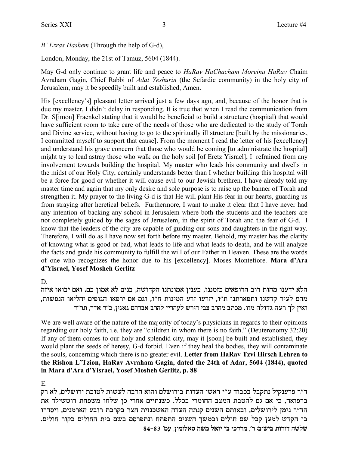*B' Ezras Hashem* (Through the help of G-d),

London, Monday, the 21st of Tamuz, 5604 (1844).

May G-d only continue to grant life and peace to *HaRav HaChacham Moreinu HaRav* Chaim Avraham Gagin, Chief Rabbi of *Adat Yeshurin* (the Sefardic community) in the holy city of Jerusalem, may it be speedily built and established, Amen.

His [excellency's] pleasant letter arrived just a few days ago, and, because of the honor that is due my master, I didn't delay in responding. It is true that when I read the communication from Dr. S[imon] Fraenkel stating that it would be beneficial to build a structure (hospital) that would have sufficient room to take care of the needs of those who are dedicated to the study of Torah and Divine service, without having to go to the spiritually ill structure [built by the missionaries, I committed myself to support that cause]. From the moment I read the letter of his [excellency] and understand his grave concern that those who would be coming [to administrate the hospital] might try to lead astray those who walk on the holy soil [of Eretz Yisrael], I refrained from any involvement towards building the hospital. My master who leads his community and dwells in the midst of our Holy City, certainly understands better than I whether building this hospital will be a force for good or whether it will cause evil to our Jewish brethren. I have already told my master time and again that my only desire and sole purpose is to raise up the banner of Torah and strengthen it. My prayer to the living G-d is that He will plant His fear in our hearts, guarding us from straying after heretical beliefs. Furthermore, I want to make it clear that I have never had any intention of backing any school in Jerusalem where both the students and the teachers are not completely guided by the sages of Jerusalem, in the spirit of Torah and the fear of G-d. I know that the leaders of the city are capable of guiding our sons and daughters in the right way. Therefore, I will do as I have now set forth before my master. Behold, my master has the clarity of knowing what is good or bad, what leads to life and what leads to death, and he will analyze the facts and guide his community to fulfill the will of our Father in Heaven. These are the words of one who recognizes the honor due to his [excellency]. Moses Montefiore. **Mara d'Ara d'Yisrael, Yosef Mosheh Gerlitz** 

D.

הלא ידענו מהות רוב הרופאים בזמננו, בענין אמונתנו הקדושה, בנים לא אמון בם, ואם יבואו איזה מהם לעיר קדשנו ותפארתנו ת"ו, יזרעו זרע המינות ח"ו, וגם אם ירפאו הגופים יחליאו הנפשות, **c"xz ,xc` c"k ,oib`b mdxa` axdl oixdrl yxid iav axdn azkn** .efn dlecb drx jl oi`e

We are well aware of the nature of the majority of today's physicians in regards to their opinions regarding our holy faith, i.e. they are "children in whom there is no faith." (Deuteronomy 32:20) If any of them comes to our holy and splendid city, may it [soon] be built and established, they would plant the seeds of heresy, G-d forbid. Even if they heal the bodies, they will contaminate the souls, concerning which there is no greater evil. **Letter from HaRav Tzvi Hirsch Lehren to the Rishon L'Tzion, HaRav Avraham Gagin, dated the 24th of Adar, 5604 (1844), quoted in Mara d'Ara d'Yisrael, Yosef Mosheh Gerlitz, p. 88** 

E.

ד״ר פרענקיל נתקבל בכבוד ע״י ראשי העדות בירושלם והוא הרבה לעשות לטובת ירושלים, לא רק ברפואה, כי אם גם להטבת המצב החומרי בכלל. כשנתיים אחרי כן שלחו משפחת רוטשילד את הד״ר נימן לירושלים, ובאותם השנים קנתה העדה האשכנזית חצר בקרבת רובע הארמנים, ויסדרו בו הקדש למען קבל שם חולים ובמשך השנים התפתח ונתפרסם בשם בית החולים בקור חולים. **84-83 'nr ,oenel`q dyn l`ei oa ikcxn ,'x :aeyia zexec dyly**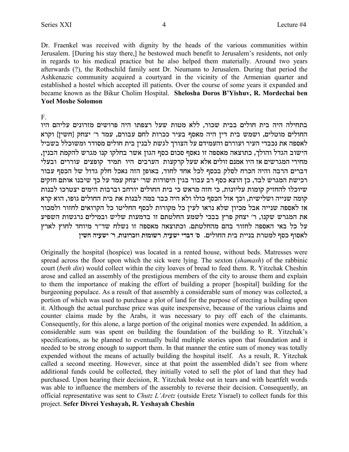Dr. Fraenkel was received with dignity by the heads of the various communities within Jerusalem. [During his stay there,] he bestowed much benefit to Jerusalem's residents, not only in regards to his medical practice but he also helped them materially. Around two years afterwards (?), the Rothschild family sent Dr. Neumann to Jerusalem. During that period the Ashkenazic community acquired a courtyard in the vicinity of the Armenian quarter and established a hostel which accepted ill patients. Over the course of some years it expanded and became known as the Bikur Cholim Hospital. Shelosha Doros B'Yishuv, R. Mordechai ben **Yoel Moshe Solomon** 

#### $F$

בתחילה היה בית חולים בבית שכור, ללא מטות שעל רצפתו היה פרושים מזרונים עליהם היו החולים מוטלים, ושמש בית דין היה מאסף בעיר ככרות לחם עבורם, עמד ר' יצחק [חשין] וקרא לאספה את נכבדי העיר ועוררם והעמידם על הצורך לגשת לבנין בית חולים מסודר ומשוכלל בשביל הישוב הגדל והולך, כתוצאה מאספה זו נאסף סכום כסף הגון אשר בחלקו קנו מגרש להקמת הבנין, מחירי המגרשים אז היו אמנם זולים אלא שעל קרקעות הערבים היו תמיד קופצים עוררים ובעלי דברים הרבה והיה הכרח לסלק בכסף לכל אחד לחוד, באופן הזה נאכל חלק גדול של הכסף עבור רכישת המגרש לבד, כן הוצא כסף רב עבור בגין היסודות שר׳ יצחק עמד על כך שיבנו אותם חזקים שיוכלו להחזיק קומות עליונות, כי חזה מראש כי בית החולים יורחב וברבות הימים יצטרכו לבנות קומה שנייה ושלישית, וכך אזל הכסף כולו ולא היה כבר במה לבנות את בית החולים גופו, הוא קרא אז לאספה שנייה אבל מכיון שלא נראו לעין כל מקורות לכסף החליטו כל הקרואים לחזור ולמכור את המגרש שקנו, ר׳ יצחק פרץ בבכי לשמע החלטתם זו בדמעות שליש ובמילים נרגשות השפיע על כל באי האספה לחזור בהם מהחלטתם. וכתוצאה מאספה זו נשלח שד״ר מיוחד לחוץ לארץ לאסוף כסף למטרת בניית בית החולים. ס׳ דברי ישעיה, רשומות וזכרונות, ר׳ ישעיה חשין

Originally the hospital (hospice) was located in a rented house, without beds. Matresses were spread across the floor upon which the sick were lying. The sexton (shamash) of the rabbinic court (beth din) would collect within the city loaves of bread to feed them. R. Yitzchak Cheshin arose and called an assembly of the prestigious members of the city to arouse them and explain to them the importance of making the effort of building a proper [hospital] building for the burgeoning populace. As a result of that assembly a considerable sum of money was collected, a portion of which was used to purchase a plot of land for the purpose of erecting a building upon it. Although the actual purchase price was quite inexpensive, because of the various claims and counter claims made by the Arabs, it was necessary to pay off each of the claimants. Consequently, for this alone, a large portion of the original monies were expended. In addition, a considerable sum was spent on building the foundation of the building to R. Yitzchak's specifications, as he planned to eventually build multiple stories upon that foundation and it needed to be strong enough to support them. In that manner the entire sum of money was totally expended without the means of actually building the hospital itself. As a result, R. Yitzchak called a second meeting. However, since at that point the assembled didn't see from where additional funds could be collected, they initially voted to sell the plot of land that they had purchased. Upon hearing their decision, R. Yitzchak broke out in tears and with heartfelt words was able to influence the members of the assembly to reverse their decision. Consequently, an official representative was sent to Chutz L'Aretz (outside Eretz Yisrael) to collect funds for this project. Sefer Divrei Yeshavah, R. Yeshavah Cheshin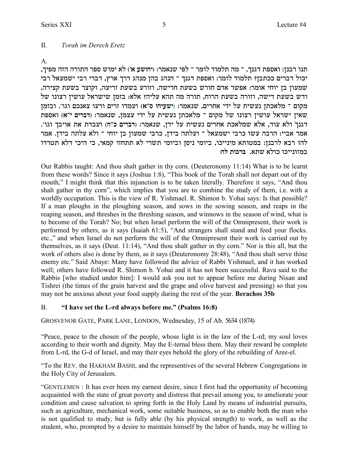#### II. *Torah im Derech Eretz*

A.

, תנו רבנן: ואספת דגנך, <sup>-</sup> מה תלמוד לומר <sup>-</sup> לפי שנאמר: (יהושע א׳) לא ימוש ספר התורה הזה מפיך יכול דברים ככתבן? תלמוד לומר: ואספת דגנך ־ הנהג בהן מנהג דרך ארץ, דברי רבי ישמעאל רבי שמעון בן יוחי אומר: אפשר אדם חורש בשעת חרישה, וזורע בשעת זריעה, וקוצר בשעת קצירה, ודש בשעת דישה, וזורה בשעת הרוח, תורה מה תהא עליה? אלא: בזמן שישראל עושין רצונו של מקום <sup>-</sup> מלאכתן נעשית על ידי אחרים, שנאמר: (ישעיהו ס"א) ועמדו זרים ורעו צאנכם וגו'. ובזמן ztq`e **(`"i mixac)** :xn`py ,onvr ici lr ziyrp ozk`ln Î mewn ly epevx oiyer l`xyi oi`y .'ebe jaie` z` zcare **(g"k mixac)** :xn`py ,oci lr ziyrp mixg` zk`lny `l` ,cer `le Ÿjpbc אמר אביי: הרבה עשו כרבי ישמעאל ־ ועלתה בידן, כרבי שמעון בן יוחי ־ ולא עלתה בידן. אמר להו רבא לרבנן: במטותא מינייכו, ביומי ניסן וביומי תשרי לא תתחזו קמאי, כי היכי דלא תטרדו .<br>במזונייכו כולא שתא. ברכות לה:

Our Rabbis taught: And thou shalt gather in thy corn. (Deuteronomy 11:14) What is to be learnt from these words? Since it says (Joshua 1:8), "This book of the Torah shall not depart out of thy mouth," I might think that this injunction is to be taken literally. Therefore it says, "And thou shalt gather in thy corn", which implies that you are to combine the study of them, i.e. with a worldly occupation. This is the view of R. Yishmael. R. Shimon b. Yohai says: Is that possible? If a man ploughs in the ploughing season, and sows in the sowing season, and reaps in the reaping season, and threshes in the threshing season, and winnows in the season of wind, what is to become of the Torah? No; but when Israel perform the will of the Omnipresent, their work is performed by others, as it says (Isaiah 61:5), "And strangers shall stand and feed your flocks. etc.," and when Israel do not perform the will of the Omnipresent their work is carried out by themselves, as it says (Deut. 11:14), "And thou shalt gather in thy corn." Nor is this all, but the work of others also is done by them, as it says (Deuteronomy 28:48), "And thou shalt serve thine enemy etc." Said Abaye: Many have followed the advice of Rabbi Yishmael, and it has worked well; others have followed R. Shimon b. Yohai and it has not been successful. Rava said to the Rabbis [who studied under him]: I would ask you not to appear before me during Nisan and Tishrei (the times of the grain harvest and the grape and olive harvest and pressing) so that you may not be anxious about your food supply during the rest of the year. **Berachos 35b**

### B. **"I have set the L-rd always before me." (Psalms 16:8)**

GROSVENOR GATE, PARK LANE, LONDON, Wednesday, 15 of Ab*,* 5634 (1874)

"Peace, peace to the chosen of the people, whose light is in the law of the L-rd; my soul loves according to their worth and dignity. May the E-ternal bless them. May their reward be complete from L-rd, the G-d of Israel, and may their eyes behold the glory of the rebuilding of Aree-el.

"To the REV. the HAKHAM BASHI, and the representives of the several Hebrew Congregations in the Holy City of Jerusalem.

"GENTLEMEN : It has ever been my earnest desire, since I first had the opportunity of becoming acquainted with the state of great poverty and distress that prevail among you, to ameliorate your condition and cause salvation to spring forth in the Holy Land by means of industrial pursuits, such as agriculture, mechanical work, some suitable business, so as to enable both the man who is not qualified to study, but is fully able (by his physical strength) to work, as well as the student, who, prompted by a desire to maintain himself by the labor of hands, may be willing to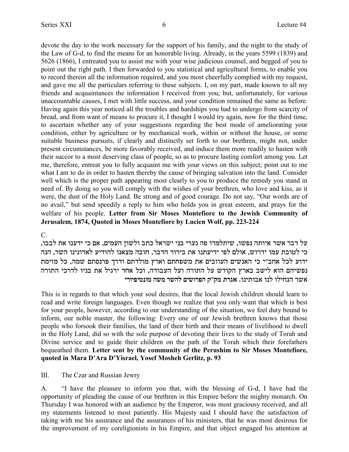devote the day to the work necessary for the support of his family, and the night to the study of the Law of G-d, to find the means for an honorable living. Already, in the years 5599 (1839) and 5626 (1866), I entreated you to assist me with your wise judicious counsel, and begged of you to point out the right path. I then forwarded to you statistical and agricultural forms, to enable you to record therein all the information required, and you most cheerfully complied with my request, and gave me all the particulars referring to these subjects. I, on my part, made known to all my friends and acquaintances the information I received from you; but, unfortunately, for various unaccountable causes, I met with little success, and your condition remained the same as before. Having again this year noticed all the troubles and hardships you had to undergo from scarcity of bread, and from want of means to procure it, I thought I would try again, now for the third time, to ascertain whether any of your suggestions regarding the best mode of ameliorating your condition, either by agriculture or by mechanical work, within or without the house, or some suitable business pursuits, if clearly and distinctly set forth to our brethren, might not, under present circumstances, be more favorably received, and induce them more readily to hasten with their succor to a most deserving class of people, so as to procure lasting comfort among you. Let me, therefore, entreat you to fully acquaint me with your views on this subject; point out to me what I am to do in order to hasten thereby the cause of bringing salvation into the land. Consider well which is the proper path appearing most clearly to you to produce the remedy you stand in need of. By doing so you will comply with the wishes of your brethren, who love and kiss, as it were, the dust of the Holy Land. Be strong and of good courage. Do not say, "Our words are of no avail," but send speedily a reply to him who holds you in great esteem, and prays for the welfare of his people. **Letter from Sir Moses Montefiore to the Jewish Community of Jerusalem, 1874, Quoted in Moses Montefiore by Lucien Wolf, pp. 223-224**

C.

, על דבר אשר איותה נפשו, שיתלמדו פה נערי בני ישראל כתב ולשון העמים, אם כי ידענו את לבבו כי לטובת עמו ידרוש, אולם לפי ידיעתנו את בירור הדבר, חובה מצאנו להודיע לאדונינו השר, הנה ידוע לכל אחב״י כי האנשים העוזבים את משפחתם וארץ מולדתם ודרך פרנסתם שמה, כל מזימת נפשיהם הוא לישב בארץ הקודש על התורה ועל העבודה, וכל אחד ירגיל את בניו לדרכי התורה **ixeitihpen dyn xydl miyextd w"wn zxb`** .epizea` epl eligpd xy`

This is in regards to that which your soul desires, that the local Jewish children should learn to read and write foreign languages. Even though we realize that you only want that which is best for your people, however, according to our understanding of the situation, we feel duty bound to inform, our noble master, the following: Every one of our Jewish brethren knows that those people who forsook their families, the land of their birth and their means of livelihood to dwell in the Holy Land, did so with the sole purpose of devoting their lives to the study of Torah and Divine service and to guide their children on the path of the Torah which their forefathers bequeathed them. **Letter sent by the community of the Perushim to Sir Moses Montefiore, quoted in Mara D'Ara D'Yisrael, Yosef Mosheh Gerlitz, p. 93**

III. The Czar and Russian Jewry

A. "I have the pleasure to inform you that, with the blessing of G-d, I have had the opportunity of pleading the cause of our brethren in this Empire before the mighty monarch. On Thursday I was honored with an audience by the Emperor, was most graciousy received, and all my statements listened to most patiently. His Majesty said I should have the satisfaction of taking with me his assurance and the assuranees of his ministers, that he was most desirous for the improvement of my coreligionists in his Empire, and that object engaged his attention at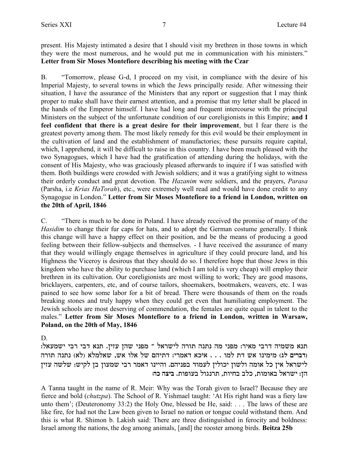present. His Majesty intimated a desire that I should visit my brethren in those towns in which they were the most numerous, and he would put me in communication with his ministers." **Letter from Sir Moses Montefiore describing his meeting with the Czar**

B. "Tomorrow, please G-d, I proceed on my visit, in compliance with the desire of his Imperial Majesty, to several towns in which the Jews principally reside. After witnessing their situation, I have the assurance of the Ministers that any report or suggestion that I may think proper to make shall have their earnest attention, and a promise that my letter shall be placed in the hands of the Emperor himself. I have had long and frequent intercourse with the principal Ministers on the subject of the unfortunate condition of our coreligionists in this Empire; **and I feel confident that there is a great desire for their improvement**, but I fear there is the greatest poverty among them. The most likely remedy for this evil would be their employment in the cultivation of land and the establishment of manufactories; these pursuits require capital, which. I apprehend, it will be difficult to raise in this country. I have been much pleased with the two Synagogues, which I have had the gratification of attending during the holidays, with the consent of His Majesty, who was graciously pleased afterwards to inquire if I was satisfied with them. Both buildings were crowded with Jewish soldiers; and it was a gratifying sight to witness their orderly conduct and great devotion. The *Hazanim* were soldiers, and the prayers, *Parasa* (Parsha, i.e *Krias HaTorah*), etc., were extremely well read and would have done credit to any Synagogue in London." **Letter from Sir Moses Montefiore to a friend in London, written on the 20th of April, 1846**

C. "There is much to be done in Poland. I have already received the promise of many of the *Hasidim* to change their fur caps for hats, and to adopt the German costume generally. I think this change will have a happy effect on their position, and be the means of producing a good feeling between their fellow-subjects and themselves. - I have received the assurance of many that they would willingly engage themselves in agriculture if they could procure land, and his Highness the Viceroy is desirous that they should do so. I therefore hope that those Jews in this kingdom who have the ability to purchase land (which I am told is very cheap) will employ their brethren in its cultivation. Our coreligionists are most willing to work; They are good masons, bricklayers, carpenters, etc, and of course tailors, shoemakers, bootmakers, weavers, etc. I was pained to see how some labor for a bit of bread. There were thousands of them on the roads breaking stones and truly happy when they could get even that humiliating employment. The Jewish schools are most deserving of commendation, the females are quite equal in talent to the males." **Letter from Sir Moses Montefiore to a friend in London, written in Warsaw, Poland, on the 20th of May, 1846**

D.

: תנא משמיה דרבי מאיר: מפני מה נתנה תורה לישראל <sup>-</sup> מפני שהן עזין. תנא דבי רבי ישמעאל ודברים לג) מימינו אש דת למו . . . איכא דאמרי: דתיהם של אלו אש, שאלמלא (לא) נתנה תורה) לישראל אין כל אומה ולשון יכולין לעמוד בפניהם. והיינו דאמר רבי שמעון בן לקיש: שלשה עזין .<br>הז: ישראל באומות, כלב בחיות, תרנגול בעופות. ביצה כה

A Tanna taught in the name of R. Meir: Why was the Torah given to Israel? Because they are fierce and bold (*chutzpa*). The School of R. Yishmael taught: 'At His right hand was a fiery law unto them'; (Deuteronomy 33:2) the Holy One, blessed be He, said: . . . The laws of these are like fire, for had not the Law been given to Israel no nation or tongue could withstand them. And this is what R. Shimon b. Lakish said: There are three distinguished in ferocity and boldness: Israel among the nations, the dog among animals, [and] the rooster among birds. **Beitza 25b**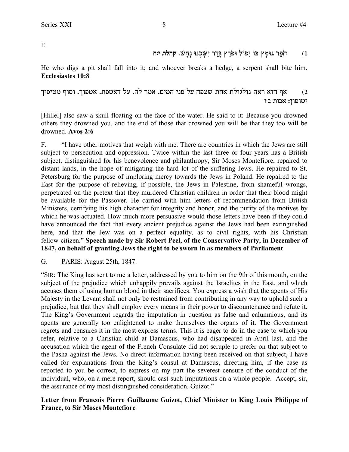E.

# f:i **h: הֹפֵר גּוּמֵץ בּוֹ יִפּוֹל וּפֹרֵץ גַּדֵר יִשְׁבֵנּוּ נַחֲשׁ. קהלת י<sub>ּ</sub>ח**

He who digs a pit shall fall into it; and whoever breaks a hedge, a serpent shall bite him. **Ecclesiastes 10:8**

## אף הוא ראה גולגולת אחת שצפה על פני המים. אמר לה. על דאטפת. אטפוך. וסוף מטיפיך  $\alpha$ יטופון: אבות ב**:**ו

[Hillel] also saw a skull floating on the face of the water. He said to it: Because you drowned others they drowned you, and the end of those that drowned you will be that they too will be drowned. **Avos 2:6**

F. "I have other motives that weigh with me. There are countries in which the Jews are still subject to persecution and oppression. Twice within the last three or four years has a British subject, distinguished for his benevolence and philanthropy, Sir Moses Montefiore, repaired to distant lands, in the hope of mitigating the hard lot of the suffering Jews. He repaired to St. Petersburg for the purpose of imploring mercy towards the Jews in Poland. He repaired to the East for the purpose of relieving, if possible, the Jews in Palestine, from shameful wrongs, perpetrated on the pretext that they murdered Christian children in order that their blood might be available for the Passover. He carried with him letters of recommendation from British Ministers, certifying his high character for integrity and honor, and the purity of the motives by which he was actuated. How much more persuasive would those letters have been if they could have announced the fact that every ancient prejudice against the Jews had been extinguished here, and that the Jew was on a perfect equality, as to civil rights, with his Christian fellow-citizen." **Speech made by Sir Robert Peel, of the Conservative Party, in December of 1847, on behalf of granting Jews the right to be sworn in as members of Parliament** 

G. PARIS: August 25th, 1847.

"SIR: The King has sent to me a letter, addressed by you to him on the 9th of this month, on the subject of the prejudice which unhappily prevails against the Israelites in the East, and which accuses them of using human blood in their sacrifices. You express a wish that the agents of His Majesty in the Levant shall not only be restrained from contributing in any way to uphold such a prejudice, but that they shall employ every means in their power to discountenance and refute it. The King's Government regards the imputation in question as false and calumnious, and its agents are generally too enlightened to make themselves the organs of it. The Government regrets and censures it in the most express terms. This it is eager to do in the case to which you refer, relative to a Christian child at Damascus, who had disappeared in April last, and the accusation which the agent of the French Consulate did not scruple to prefer on that subject to the Pasha against the Jews. No direct information having been received on that subject, I have called for explanations from the King's consul at Damascus, directing him, if the case as reported to you be correct, to express on my part the severest censure of the conduct of the individual, who, on a mere report, should cast such imputations on a whole people. Accept, sir, the assurance of my most distinguished consideration. Guizot."

### **Letter from Francois Pierre Guillaume Guizot, Chief Minister to King Louis Philippe of France, to Sir Moses Montefiore**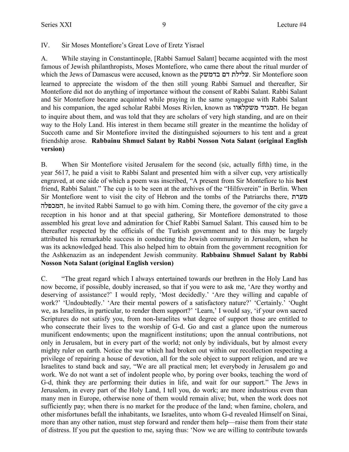#### IV. Sir Moses Montefiore's Great Love of Eretz Yisrael

A. While staying in Constantinople, [Rabbi Samuel Salant] became acqainted with the most famous of Jewish philanthropists, Moses Montefiore, who came there about the ritual murder of which the Jews of Damascus were accused, known as the עלילת דם בדמשק. Sir Montefiore soon learned to appreciate the wisdom of the then still young Rabbi Samuel and thereafter, Sir Montefiore did not do anything of importance without the consent of Rabbi Salant. Rabbi Salant and Sir Montefiore became acqainted while praying in the same synagogue with Rabbi Salant and his companion, the aged scholar Rabbi Moses Rivlen, known as המגיד משקלאוו. He began to inquire about them, and was told that they are scholars of very high standing, and are on their way to the Holy Land. His interest in them became still greater in the meantime the holiday of Succoth came and Sir Montefiore invited the distinguished sojourners to his tent and a great friendship arose. **Rabbainu Shmuel Salant by Rabbi Nosson Nota Salant (original English version)**

B. When Sir Montefiore visited Jerusalem for the second (sic, actually fifth) time, in the year 5617, he paid a visit to Rabbi Salant and presented him with a silver cup, very artistically engraved, at one side of which a poem was inscribed, "A present from Sir Montefiore to his **best** friend, Rabbi Salant." The cup is to be seen at the archives of the "Hilfsverein" in Berlin. When Sir Montefiore went to visit the city of Hebron and the tombs of the Patriarchs there, מערת המכפלה, he invited Rabbi Samuel to go with him. Coming there, the governor of the city gave a reception in his honor and at that special gathering, Sir Montefiore demonstrated to those assembled his great love and admiration for Chief Rabbi Samuel Salant. This caused him to be thereafter respected by the officials of the Turkish government and to this may be largely attributed his remarkable success in conducting the Jewish community in Jerusalem, when he was its acknowledged head. This also helped him to obtain from the government recognition for the Ashkenazim as an independent Jewish community. **Rabbainu Shmuel Salant by Rabbi Nosson Nota Salant (original English version)**

C. "The great regard which I always entertained towards our brethren in the Holy Land has now become, if possible, doubly increased, so that if you were to ask me, 'Are they worthy and deserving of assistance?' I would reply, 'Most decidedly.' 'Are they willing and capable of work?' 'Undoubtedly.' 'Are their mental powers of a satisfactory nature?' 'Certainly.' 'Ought we, as Israelites, in particular, to render them support?' 'Learn,' I would say, 'if your own sacred Scriptures do not satisfy you, from non-Israelites what degree of support those are entitled to who consecrate their lives to the worship of G-d. Go and cast a glance upon the numerous munificent endowments; upon the magnificent institutions; upon the annual contributions, not only in Jerusalem, but in every part of the world; not only by individuals, but by almost every mighty ruler on earth. Notice the war which had broken out within our recollection respecting a privilege of repairing a house of devotion, all for the sole object to support religion, and are we Israelites to stand back and say, "We are all practical men; let everybody in Jerusalem go and work. We do not want a set of indolent people who, by poring over books, teaching the word of G-d, think they are performing their duties in life, and wait for our support." The Jews in Jerusalem, in every part of the Holy Land, I tell you, do work; are more industrious even than many men in Europe, otherwise none of them would remain alive; but, when the work does not sufficiently pay; when there is no market for the produce of the land; when famine, cholera, and other misfortunes befall the inhabitants, we Israelites, unto whom G-d revealed Himself on Sinai, more than any other nation, must step forward and render them help—raise them from their state of distress. If you put the question to me, saying thus: 'Now we are willing to contribute towards